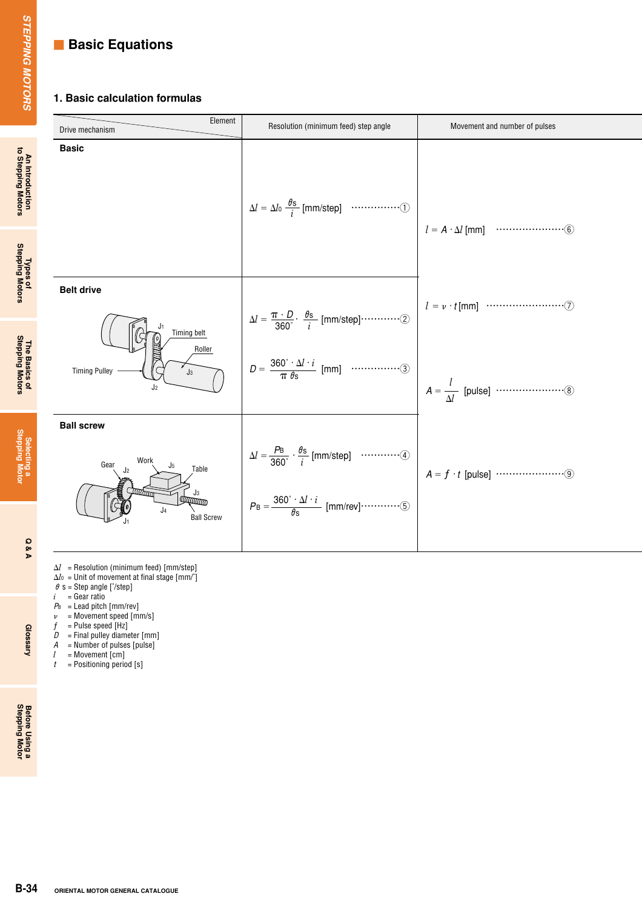## **Example 3 Basic Equations**

## **1. Basic calculation formulas**

| Element<br>Drive mechanism                                                                                                                                                                               | Resolution (minimum feed) step angle                                                                                                                                                                                           | Movement and number of pulses |
|----------------------------------------------------------------------------------------------------------------------------------------------------------------------------------------------------------|--------------------------------------------------------------------------------------------------------------------------------------------------------------------------------------------------------------------------------|-------------------------------|
| <b>Basic</b>                                                                                                                                                                                             | $\Delta l = \Delta l_0 \frac{\theta s}{i}$ [mm/step] $\cdots \cdots \cdots \cdots \cdots$                                                                                                                                      |                               |
|                                                                                                                                                                                                          |                                                                                                                                                                                                                                |                               |
| <b>Belt drive</b><br>Timing belt                                                                                                                                                                         |                                                                                                                                                                                                                                |                               |
| Roller<br><b>Timing Pulley</b><br>$J_3$<br>J <sub>2</sub>                                                                                                                                                |                                                                                                                                                                                                                                |                               |
| <b>Ball screw</b>                                                                                                                                                                                        |                                                                                                                                                                                                                                |                               |
| Work<br>Gear<br>Table<br>J2<br><b>Contraction</b><br>J3<br>$\sqrt{6}$<br>ЩЩ<br>$\mathbb{G}$<br>J <sub>4</sub><br><b>Ball Screw</b>                                                                       | $\Delta l = \frac{PB}{360^\circ} \cdot \frac{\theta s}{i}$ [mm/step] $\cdots \cdots \cdots \cdots (4)$<br>$P_{\text{B}} = \frac{360^{\circ} \cdot \Delta l \cdot i}{\theta \text{s}}$<br>$[mm/rev] \cdots \cdots \cdots \odot$ |                               |
| $\Delta l$ = Resolution (minimum feed) [mm/step]<br>$\Delta l_0$ = Unit of movement at final stage [mm/°]                                                                                                |                                                                                                                                                                                                                                |                               |
| $\theta$ s = Step angle [ $\degree$ /step]<br>= Gear ratio<br>$P_B$ = Lead pitch [mm/rev]<br>= Movement speed [mm/s]<br>= Pulse speed [Hz]<br>= Final pulley diameter [mm]<br>= Number of pulses [pulse] |                                                                                                                                                                                                                                |                               |
| = Movement [cm]<br>= Positioning period [s]                                                                                                                                                              |                                                                                                                                                                                                                                |                               |
|                                                                                                                                                                                                          |                                                                                                                                                                                                                                |                               |
|                                                                                                                                                                                                          |                                                                                                                                                                                                                                |                               |
|                                                                                                                                                                                                          |                                                                                                                                                                                                                                |                               |

- $\Delta l$  = Resolution (minimum feed) [mm/step]
- $\Delta l$ o = Unit of movement at final stage [mm/ $^\circ$ ]
- $\theta$  s = Step angle [ $\degree$ /step]
- $i =$  Gear ratio
- $P_{B}$  = Lead pitch [mm/rev]
- $\nu$  = Movement speed [mm/s]
- $f =$  Pulse speed [Hz]
- $D =$  Final pulley diameter  $[mm]$
- 
- *A* = Number of pulses [pulse]
- *l* = Movement [cm] *t* = Positioning period [s]

Selecting a<br>Stepping Motor

An Introduction<br>to Stepping Motors

Types of<br>Stepping Motors

The Basics of<br>Stepping Motors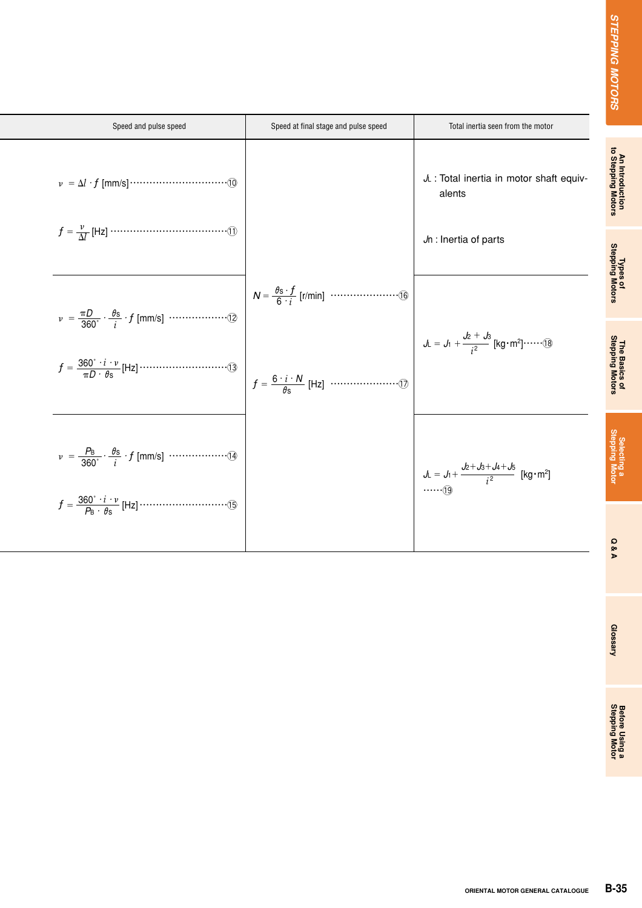| <b>STEPPING MOTORS</b>                | Total inertia seen from the motor                                                        | Speed at final stage and pulse speed | Speed and pulse speed                                                                                                    |
|---------------------------------------|------------------------------------------------------------------------------------------|--------------------------------------|--------------------------------------------------------------------------------------------------------------------------|
| An Introduction<br>to Stepping Motors | JL : Total inertia in motor shaft equiv-<br>alents                                       |                                      |                                                                                                                          |
| Types of<br>Stepping Motors           | Jn : Inertia of parts                                                                    |                                      |                                                                                                                          |
|                                       | $J_L = J_1 + \frac{J_2 + J_3}{i^2}$ [kg·m <sup>2</sup> ]······(18)                       |                                      | $v = \frac{\pi D}{360^\circ} \cdot \frac{\theta s}{i} \cdot f$ [mm/s] $\cdots \cdots \cdots \cdots \cdots \cdots \cdots$ |
|                                       | $J_L = J_1 + \frac{J_2 + J_3 + J_4 + J_5}{i^2}$ [kg·m <sup>2</sup> ]<br><sub>(19</sub> ) |                                      |                                                                                                                          |
|                                       |                                                                                          |                                      |                                                                                                                          |
|                                       |                                                                                          |                                      |                                                                                                                          |
|                                       |                                                                                          |                                      |                                                                                                                          |
|                                       |                                                                                          |                                      |                                                                                                                          |
| $B-35$                                | ORIENTAL MOTOR GENERAL CATALOGUE                                                         |                                      |                                                                                                                          |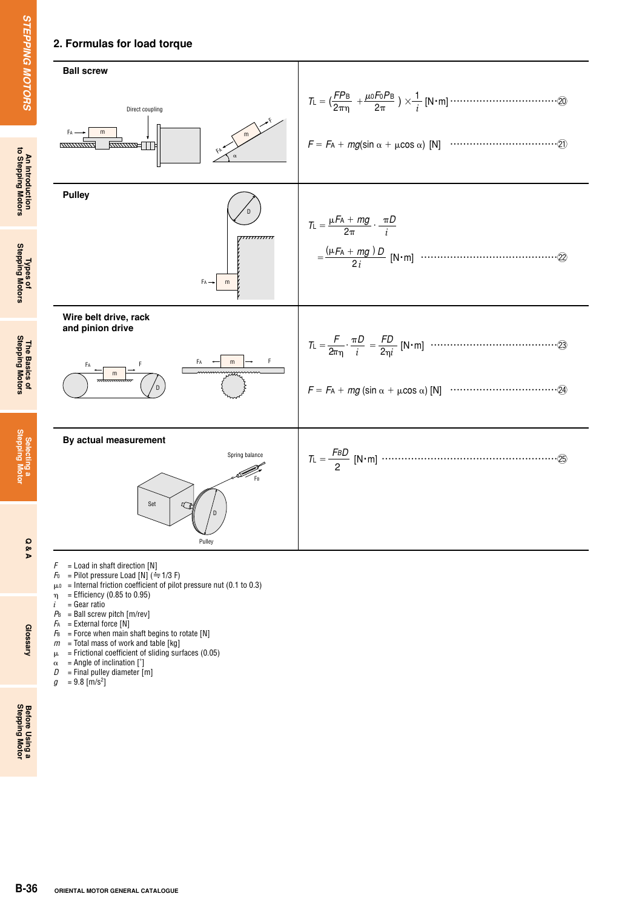## **2. Formulas for load torque**



- *F* = Load in shaft direction [N]<br>*F*<sub>0</sub> = Pilot pressure Load [N] ( $\frac{2}{\pi}$
- $F =$ Pilot pressure Load  $[N]$  ( $\div$  1/3 F)
- $\mu_0$  = Internal friction coefficient of pilot pressure nut (0.1 to 0.3)
- $\eta$  = Efficiency (0.85 to 0.95)
- $i =$ Gear ratio
- $P_{B}$  = Ball screw pitch  $[m/\text{rev}]$
- $FA$  = External force  $[N]$
- $F_B$  = Force when main shaft begins to rotate [N]
- $m =$  Total mass of work and table [kg]
- $\mu$  = Frictional coefficient of sliding surfaces (0.05)
- $\alpha$  = Angle of inclination [°]<br>  $D$  = Final pulley diameter [1]
	- $=$  Final pulley diameter  $[m]$
- $g = 9.8$  [m/s<sup>2</sup>]

**Glossary** 

**Stepping Motor**